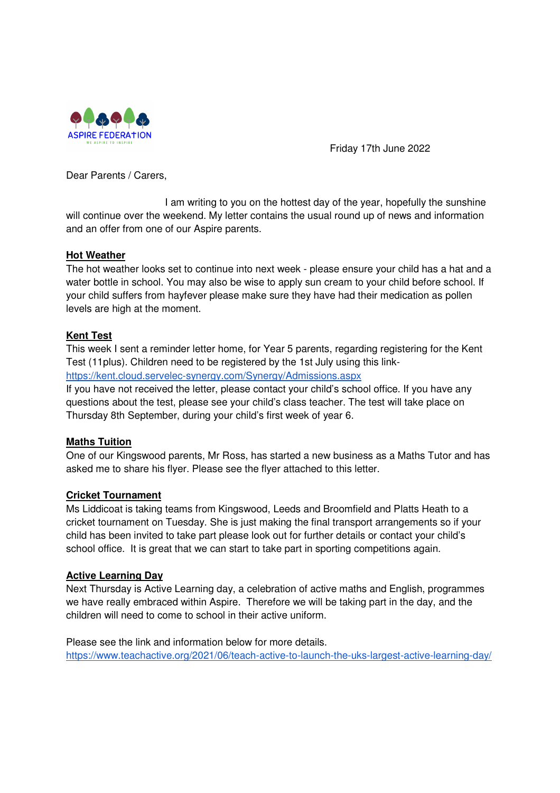

Friday 17th June 2022

Dear Parents / Carers,

 I am writing to you on the hottest day of the year, hopefully the sunshine will continue over the weekend. My letter contains the usual round up of news and information and an offer from one of our Aspire parents.

### **Hot Weather**

The hot weather looks set to continue into next week - please ensure your child has a hat and a water bottle in school. You may also be wise to apply sun cream to your child before school. If your child suffers from hayfever please make sure they have had their medication as pollen levels are high at the moment.

# **Kent Test**

This week I sent a reminder letter home, for Year 5 parents, regarding registering for the Kent Test (11plus). Children need to be registered by the 1st July using this linkhttps://kent.cloud.servelec-synergy.com/Synergy/Admissions.aspx

If you have not received the letter, please contact your child's school office. If you have any questions about the test, please see your child's class teacher. The test will take place on Thursday 8th September, during your child's first week of year 6.

# **Maths Tuition**

One of our Kingswood parents, Mr Ross, has started a new business as a Maths Tutor and has asked me to share his flyer. Please see the flyer attached to this letter.

### **Cricket Tournament**

Ms Liddicoat is taking teams from Kingswood, Leeds and Broomfield and Platts Heath to a cricket tournament on Tuesday. She is just making the final transport arrangements so if your child has been invited to take part please look out for further details or contact your child's school office. It is great that we can start to take part in sporting competitions again.

### **Active Learning Day**

Next Thursday is Active Learning day, a celebration of active maths and English, programmes we have really embraced within Aspire. Therefore we will be taking part in the day, and the children will need to come to school in their active uniform.

Please see the link and information below for more details. https://www.teachactive.org/2021/06/teach-active-to-launch-the-uks-largest-active-learning-day/